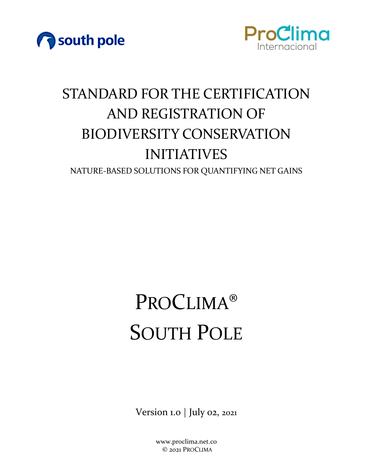



# STANDARD FOR THE CERTIFICATION AND REGISTRATION OF BIODIVERSITY CONSERVATION INITIATIVES

NATURE-BASED SOLUTIONS FOR QUANTIFYING NET GAINS

# PROCLIMA® SOUTH POLE

Version 1.0 | July 02, 2021

www.proclima.net.co © 2021 PROCLIMA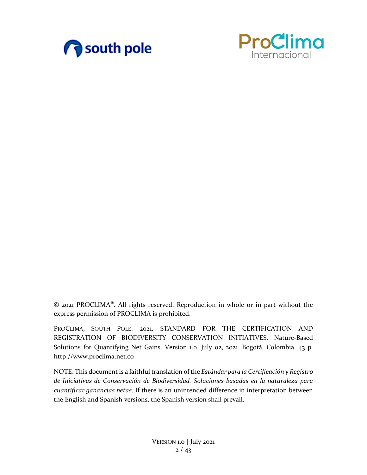



© 2021 PROCLIMA®. All rights reserved. Reproduction in whole or in part without the express permission of PROCLIMA is prohibited.

PROCLIMA, SOUTH POLE. 2021. STANDARD FOR THE CERTIFICATION AND REGISTRATION OF BIODIVERSITY CONSERVATION INITIATIVES. Nature-Based Solutions for Quantifying Net Gains. Version 1.0. July 02, 2021. Bogotá, Colombia. 43 p. [http://www.proclima.net.co](http://www.proclima.net.co/)

NOTE: This document is a faithful translation of the *Estándar para la Certificación y Registro de Iniciativas de Conservación de Biodiversidad. Soluciones basadas en la naturaleza para cuantificar ganancias netas*. If there is an unintended difference in interpretation between the English and Spanish versions, the Spanish version shall prevail.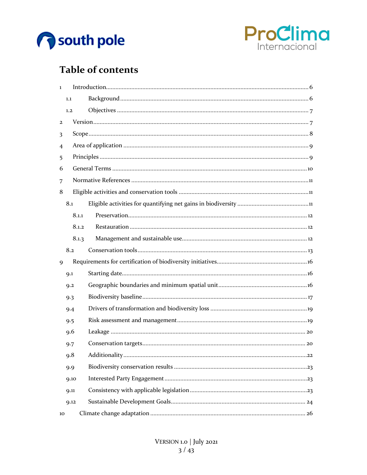



# **Table of contents**

| $\mathbf{1}$            |                |  |  |  |  |
|-------------------------|----------------|--|--|--|--|
|                         | 1.1            |  |  |  |  |
|                         | 1.2            |  |  |  |  |
| $\overline{\mathbf{c}}$ |                |  |  |  |  |
| 3                       |                |  |  |  |  |
| 4                       |                |  |  |  |  |
| 5                       |                |  |  |  |  |
| 6                       |                |  |  |  |  |
| 7                       |                |  |  |  |  |
| 8                       |                |  |  |  |  |
|                         | 8.1            |  |  |  |  |
|                         | 8.1.1          |  |  |  |  |
|                         | 8.1.2          |  |  |  |  |
|                         | 8.1.3          |  |  |  |  |
|                         | 8.2            |  |  |  |  |
| 9                       |                |  |  |  |  |
|                         | Q <sub>1</sub> |  |  |  |  |
|                         | Q.2            |  |  |  |  |
|                         | 9.3            |  |  |  |  |
|                         | 9.4            |  |  |  |  |
|                         | 9.5            |  |  |  |  |
|                         | 9.6            |  |  |  |  |
|                         | 9.7            |  |  |  |  |
|                         | 9.8            |  |  |  |  |
|                         | 9.9            |  |  |  |  |
|                         | 9.10           |  |  |  |  |
|                         | 9.11           |  |  |  |  |
|                         | 9.12           |  |  |  |  |
| 10                      |                |  |  |  |  |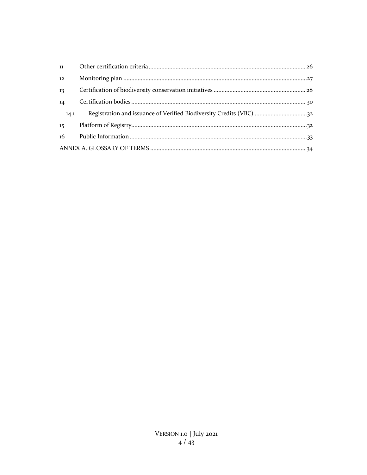| 11   |  |  |  |  |  |
|------|--|--|--|--|--|
| 12   |  |  |  |  |  |
| 13   |  |  |  |  |  |
| 14   |  |  |  |  |  |
| 14.1 |  |  |  |  |  |
| 15   |  |  |  |  |  |
| 16   |  |  |  |  |  |
|      |  |  |  |  |  |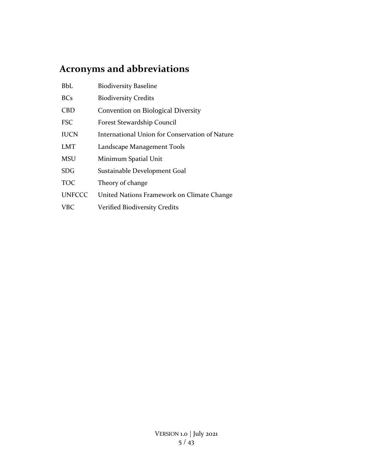# **Acronyms and abbreviations**

| <b>BbL</b>    | <b>Biodiversity Baseline</b>                   |
|---------------|------------------------------------------------|
| <b>BCs</b>    | <b>Biodiversity Credits</b>                    |
| <b>CBD</b>    | Convention on Biological Diversity             |
| <b>FSC</b>    | Forest Stewardship Council                     |
| <b>IUCN</b>   | International Union for Conservation of Nature |
| <b>LMT</b>    | Landscape Management Tools                     |
| <b>MSU</b>    | Minimum Spatial Unit                           |
| <b>SDG</b>    | Sustainable Development Goal                   |
| <b>TOC</b>    | Theory of change                               |
| <b>UNFCCC</b> | United Nations Framework on Climate Change     |
| <b>VBC</b>    | <b>Verified Biodiversity Credits</b>           |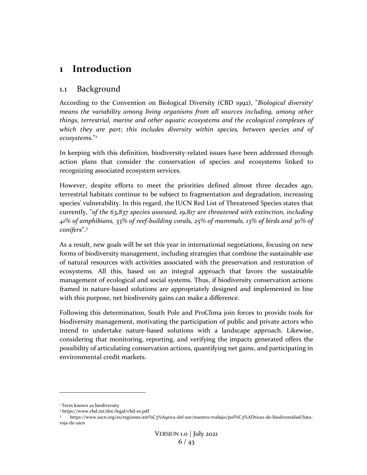## <span id="page-5-0"></span>**1 Introduction**

## <span id="page-5-1"></span>1.1 Background

According to the Convention on Biological Diversity (CBD 1992), "*Biological diversity<sup>1</sup> means the variability among living organisms from all sources including, among other things, terrestrial, marine and other aquatic ecosystems and the ecological complexes of which they are part; this includes diversity within species, between species and of ecosystems*."*<sup>2</sup>*

In keeping with this definition, biodiversity-related issues have been addressed through action plans that consider the conservation of species and ecosystems linked to recognizing associated ecosystem services.

However, despite efforts to meet the priorities defined almost three decades ago, terrestrial habitats continue to be subject to fragmentation and degradation, increasing species' vulnerability. In this regard, the IUCN Red List of Threatened Species states that currently, "*of the 63,837 species assessed, 19,817 are threatened with extinction, including 41% of amphibians, 33% of reef-building corals, 25% of mammals, 13% of birds and 30% of conifers*".<sup>3</sup>

As a result, new goals will be set this year in international negotiations, focusing on new forms of biodiversity management, including strategies that combine the sustainable use of natural resources with activities associated with the preservation and restoration of ecosystems. All this, based on an integral approach that favors the sustainable management of ecological and social systems. Thus, if biodiversity conservation actions framed in nature-based solutions are appropriately designed and implemented in line with this purpose, net biodiversity gains can make a difference.

Following this determination, South Pole and ProClima join forces to provide tools for biodiversity management, motivating the participation of public and private actors who intend to undertake nature-based solutions with a landscape approach. Likewise, considering that monitoring, reporting, and verifying the impacts generated offers the possibility of articulating conservation actions, quantifying net gains, and participating in environmental credit markets.

<sup>&</sup>lt;sup>1</sup> Term known as biodiversity

<sup>2</sup> https://www.cbd.int/doc/legal/cbd-es.pdf

<sup>3</sup> https://www.iucn.org/es/regiones/am%C3%A9rica-del-sur/nuestro-trabajo/pol%C3%ADticas-de-biodiversidad/listaroja-de-uicn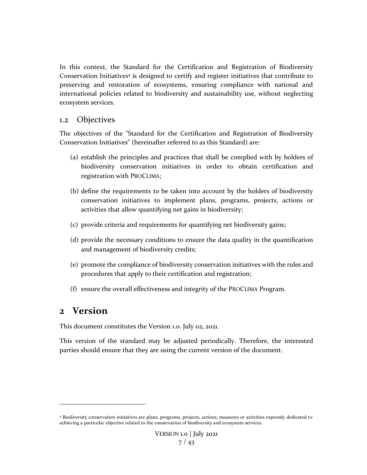In this context, the Standard for the Certification and Registration of Biodiversity Conservation Initiatives<sup>4</sup> is designed to certify and register initiatives that contribute to preserving and restoration of ecosystems, ensuring compliance with national and international policies related to biodiversity and sustainability use, without neglecting ecosystem services.

## <span id="page-6-0"></span>1.2 Objectives

The objectives of the "Standard for the Certification and Registration of Biodiversity Conservation Initiatives" (hereinafter referred to as this Standard) are:

- (a) establish the principles and practices that shall be complied with by holders of biodiversity conservation initiatives in order to obtain certification and registration with PROCLIMA;
- (b) define the requirements to be taken into account by the holders of biodiversity conservation initiatives to implement plans, programs, projects, actions or activities that allow quantifying net gains in biodiversity;
- (c) provide criteria and requirements for quantifying net biodiversity gains;
- (d) provide the necessary conditions to ensure the data quality in the quantification and management of biodiversity credits;
- (e) promote the compliance of biodiversity conservation initiatives with the rules and procedures that apply to their certification and registration;
- (f) ensure the overall effectiveness and integrity of the PROCLIMA Program.

## <span id="page-6-1"></span>**2 Version**

This document constitutes the Version 1.0. July 02, 2021.

This version of the standard may be adjusted periodically. Therefore, the interested parties should ensure that they are using the current version of the document.

<sup>4</sup> Biodiversity conservation initiatives are plans, programs, projects, actions, measures or activities expressly dedicated to achieving a particular objective related to the conservation of biodiversity and ecosystem services.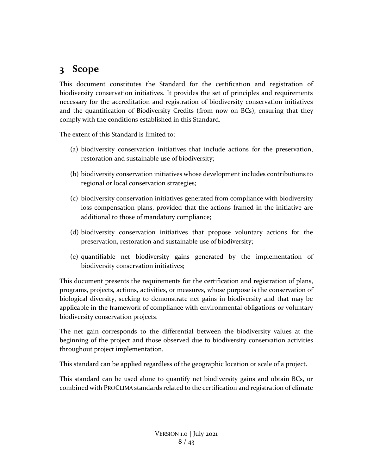# <span id="page-7-0"></span>**3 Scope**

This document constitutes the Standard for the certification and registration of biodiversity conservation initiatives. It provides the set of principles and requirements necessary for the accreditation and registration of biodiversity conservation initiatives and the quantification of Biodiversity Credits (from now on BCs), ensuring that they comply with the conditions established in this Standard.

The extent of this Standard is limited to:

- (a) biodiversity conservation initiatives that include actions for the preservation, restoration and sustainable use of biodiversity;
- (b) biodiversity conservation initiatives whose development includes contributions to regional or local conservation strategies;
- (c) biodiversity conservation initiatives generated from compliance with biodiversity loss compensation plans, provided that the actions framed in the initiative are additional to those of mandatory compliance;
- (d) biodiversity conservation initiatives that propose voluntary actions for the preservation, restoration and sustainable use of biodiversity;
- (e) quantifiable net biodiversity gains generated by the implementation of biodiversity conservation initiatives;

This document presents the requirements for the certification and registration of plans, programs, projects, actions, activities, or measures, whose purpose is the conservation of biological diversity, seeking to demonstrate net gains in biodiversity and that may be applicable in the framework of compliance with environmental obligations or voluntary biodiversity conservation projects.

The net gain corresponds to the differential between the biodiversity values at the beginning of the project and those observed due to biodiversity conservation activities throughout project implementation.

This standard can be applied regardless of the geographic location or scale of a project.

This standard can be used alone to quantify net biodiversity gains and obtain BCs, or combined with PROCLIMA standards related to the certification and registration of climate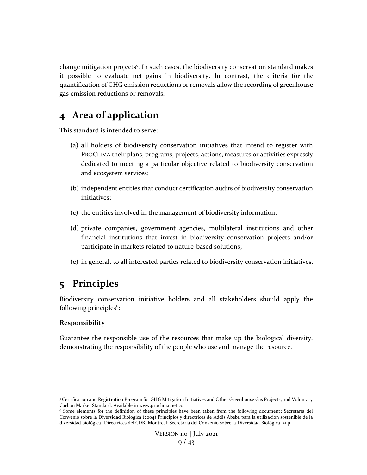change mitigation projects<sup>5</sup>. In such cases, the biodiversity conservation standard makes it possible to evaluate net gains in biodiversity. In contrast, the criteria for the quantification of GHG emission reductions or removals allow the recording of greenhouse gas emission reductions or removals.

## <span id="page-8-0"></span>**4 Area of application**

This standard is intended to serve:

- (a) all holders of biodiversity conservation initiatives that intend to register with PROCLIMA their plans, programs, projects, actions, measures or activities expressly dedicated to meeting a particular objective related to biodiversity conservation and ecosystem services;
- (b) independent entities that conduct certification audits of biodiversity conservation initiatives;
- (c) the entities involved in the management of biodiversity information;
- (d) private companies, government agencies, multilateral institutions and other financial institutions that invest in biodiversity conservation projects and/or participate in markets related to nature-based solutions;
- (e) in general, to all interested parties related to biodiversity conservation initiatives.

## <span id="page-8-1"></span>**5 Principles**

Biodiversity conservation initiative holders and all stakeholders should apply the following principles<sup>6</sup>:

## **Responsibility**

Guarantee the responsible use of the resources that make up the biological diversity, demonstrating the responsibility of the people who use and manage the resource.

<sup>5</sup> Certification and Registration Program for GHG Mitigation Initiatives and Other Greenhouse Gas Projects; and Voluntary Carbon Market Standard. Available in www.proclima.net.co

<sup>6</sup> Some elements for the definition of these principles have been taken from the following document: Secretaría del Convenio sobre la Diversidad Biológica (2004) Principios y directrices de Addis Abeba para la utilización sostenible de la diversidad biológica (Directrices del CDB) Montreal: Secretaría del Convenio sobre la Diversidad Biológica, 21 p.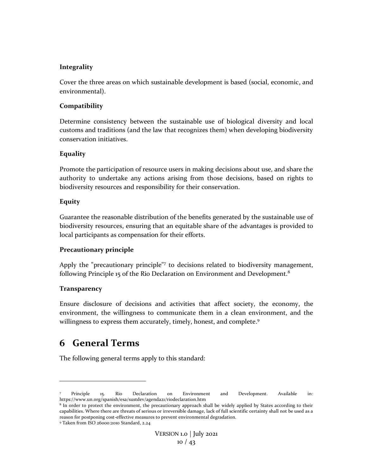#### **Integrality**

Cover the three areas on which sustainable development is based (social, economic, and environmental).

#### **Compatibility**

Determine consistency between the sustainable use of biological diversity and local customs and traditions (and the law that recognizes them) when developing biodiversity conservation initiatives.

#### **Equality**

Promote the participation of resource users in making decisions about use, and share the authority to undertake any actions arising from those decisions, based on rights to biodiversity resources and responsibility for their conservation.

#### **Equity**

Guarantee the reasonable distribution of the benefits generated by the sustainable use of biodiversity resources, ensuring that an equitable share of the advantages is provided to local participants as compensation for their efforts.

#### **Precautionary principle**

Apply the "precautionary principle"<sup>7</sup> to decisions related to biodiversity management, following Principle 15 of the Rio Declaration on Environment and Development.<sup>8</sup>

#### **Transparency**

Ensure disclosure of decisions and activities that affect society, the economy, the environment, the willingness to communicate them in a clean environment, and the willingness to express them accurately, timely, honest, and complete.<sup>9</sup>

## <span id="page-9-0"></span>**6 General Terms**

The following general terms apply to this standard:

Principle 15. Rio Declaration on Environment and Development. Available in: https://www.un.org/spanish/esa/sustdev/agenda21/riodeclaration.htm

<sup>8</sup> In order to protect the environment, the precautionary approach shall be widely applied by States according to their capabilities. Where there are threats of serious or irreversible damage, lack of full scientific certainty shall not be used as a reason for postponing cost-effective measures to prevent environmental degradation.

<sup>9</sup> Taken from ISO 26000:2010 Standard, 2.24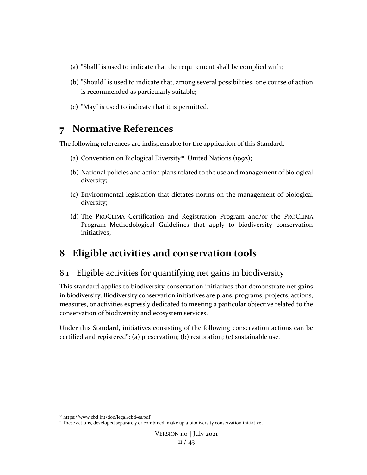- (a) "Shall" is used to indicate that the requirement shall be complied with;
- (b) "Should" is used to indicate that, among several possibilities, one course of action is recommended as particularly suitable;
- (c) "May" is used to indicate that it is permitted.

## <span id="page-10-0"></span>**7 Normative References**

The following references are indispensable for the application of this Standard:

- (a) Convention on Biological Diversity<sup>10</sup>. United Nations (1992);
- (b) National policies and action plans related to the use and management of biological diversity;
- (c) Environmental legislation that dictates norms on the management of biological diversity;
- (d) The PROCLIMA Certification and Registration Program and/or the PROCLIMA Program Methodological Guidelines that apply to biodiversity conservation initiatives;

## <span id="page-10-1"></span>**8 Eligible activities and conservation tools**

## <span id="page-10-2"></span>8.1 Eligible activities for quantifying net gains in biodiversity

This standard applies to biodiversity conservation initiatives that demonstrate net gains in biodiversity. Biodiversity conservation initiatives are plans, programs, projects, actions, measures, or activities expressly dedicated to meeting a particular objective related to the conservation of biodiversity and ecosystem services.

Under this Standard, initiatives consisting of the following conservation actions can be certified and registered<sup>11</sup>: (a) preservation; (b) restoration; (c) sustainable use.

<sup>10</sup> https://www.cbd.int/doc/legal/cbd-es.pdf

<sup>&</sup>lt;sup>11</sup> These actions, developed separately or combined, make up a biodiversity conservation initiative.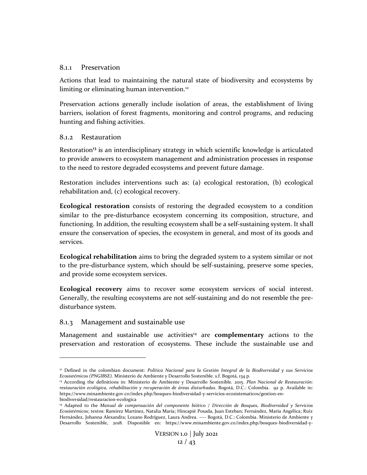#### <span id="page-11-0"></span>8.1.1 Preservation

Actions that lead to maintaining the natural state of biodiversity and ecosystems by limiting or eliminating human intervention.<sup>12</sup>

Preservation actions generally include isolation of areas, the establishment of living barriers, isolation of forest fragments, monitoring and control programs, and reducing hunting and fishing activities.

#### <span id="page-11-1"></span>8.1.2 Restauration

Restoration**<sup>13</sup>** is an interdisciplinary strategy in which scientific knowledge is articulated to provide answers to ecosystem management and administration processes in response to the need to restore degraded ecosystems and prevent future damage.

Restoration includes interventions such as: (a) ecological restoration, (b) ecological rehabilitation and, (c) ecological recovery.

**Ecological restoration** consists of restoring the degraded ecosystem to a condition similar to the pre-disturbance ecosystem concerning its composition, structure, and functioning. In addition, the resulting ecosystem shall be a self-sustaining system. It shall ensure the conservation of species, the ecosystem in general, and most of its goods and services.

**Ecological rehabilitation** aims to bring the degraded system to a system similar or not to the pre-disturbance system, which should be self-sustaining, preserve some species, and provide some ecosystem services.

**Ecological recovery** aims to recover some ecosystem services of social interest. Generally, the resulting ecosystems are not self-sustaining and do not resemble the predisturbance system.

#### <span id="page-11-2"></span>8.1.3 Management and sustainable use

Management and sustainable use activities<sup>14</sup> are **complementary** actions to the preservation and restoration of ecosystems. These include the sustainable use and

<sup>&</sup>lt;sup>12</sup> Defined in the colombian document: *Política Nacional para la Gestión Integral de la Biodiversidad y sus Servicios Ecosistémicos (PNGIBSE).* Ministerio de Ambiente y Desarrollo Sostenible. s.f. Bogotá, 134 p.

<sup>13</sup> According the definitions in: Ministerio de Ambiente y Desarrollo Sostenible. 2015. *Plan Nacional de Restauración: restauración ecológica, rehabilitación y recuperación de áreas disturbadas*. Bogotá, D.C.: Colombia. 92 p. Available in: https://www.minambiente.gov.co/index.php/bosques-biodiversidad-y-servicios-ecosistematicos/gestion-enbiodiversidad/restauracion-ecologica

<sup>14</sup> Adapted to the *Manual de compensación del componente biótico / Dirección de Bosques, Biodiversidad y Servicios Ecosistémicos*; textos: Ramírez Martínez, Natalia María; Hincapié Posada, Juan Esteban; Fernández, María Angélica; Ruíz Hernández, Johanna Alexandra; Lozano Rodríguez, Laura Andrea. ---- Bogotá, D.C.: Colombia. Ministerio de Ambiente y Desarrollo Sostenible, 2018. Disponible en: https://www.minambiente.gov.co/index.php/bosques-biodiversidad-y-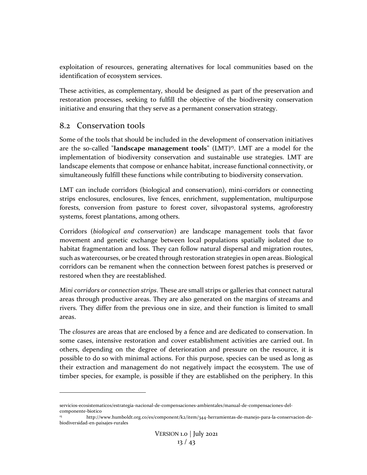exploitation of resources, generating alternatives for local communities based on the identification of ecosystem services.

These activities, as complementary, should be designed as part of the preservation and restoration processes, seeking to fulfill the objective of the biodiversity conservation initiative and ensuring that they serve as a permanent conservation strategy.

## <span id="page-12-0"></span>8.2 Conservation tools

Some of the tools that should be included in the development of conservation initiatives are the so-called "**landscape management tools**" (LMT) <sup>15</sup>. LMT are a model for the implementation of biodiversity conservation and sustainable use strategies. LMT are landscape elements that compose or enhance habitat, increase functional connectivity, or simultaneously fulfill these functions while contributing to biodiversity conservation.

LMT can include corridors (biological and conservation), mini-corridors or connecting strips enclosures, enclosures, live fences, enrichment, supplementation, multipurpose forests, conversion from pasture to forest cover, silvopastoral systems, agroforestry systems, forest plantations, among others.

Corridors (*biological and conservation*) are landscape management tools that favor movement and genetic exchange between local populations spatially isolated due to habitat fragmentation and loss. They can follow natural dispersal and migration routes, such as watercourses, or be created through restoration strategies in open areas. Biological corridors can be remanent when the connection between forest patches is preserved or restored when they are reestablished.

*Mini corridors or connection strips*. These are small strips or galleries that connect natural areas through productive areas. They are also generated on the margins of streams and rivers. They differ from the previous one in size, and their function is limited to small areas.

The *closures* are areas that are enclosed by a fence and are dedicated to conservation. In some cases, intensive restoration and cover establishment activities are carried out. In others, depending on the degree of deterioration and pressure on the resource, it is possible to do so with minimal actions. For this purpose, species can be used as long as their extraction and management do not negatively impact the ecosystem. The use of timber species, for example, is possible if they are established on the periphery. In this

servicios-ecosistematicos/estrategia-nacional-de-compensaciones-ambientales/manual-de-compensaciones-delcomponente-biotico

<sup>15</sup> http://www.humboldt.org.co/es/component/k2/item/344-herramientas-de-manejo-para-la-conservacion-debiodiversidad-en-paisajes-rurales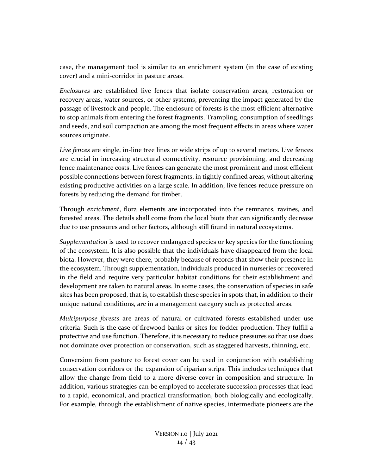case, the management tool is similar to an enrichment system (in the case of existing cover) and a mini-corridor in pasture areas.

*Enclosures* are established live fences that isolate conservation areas, restoration or recovery areas, water sources, or other systems, preventing the impact generated by the passage of livestock and people. The enclosure of forests is the most efficient alternative to stop animals from entering the forest fragments. Trampling, consumption of seedlings and seeds, and soil compaction are among the most frequent effects in areas where water sources originate.

*Live fences* are single, in-line tree lines or wide strips of up to several meters. Live fences are crucial in increasing structural connectivity, resource provisioning, and decreasing fence maintenance costs. Live fences can generate the most prominent and most efficient possible connections between forest fragments, in tightly confined areas, without altering existing productive activities on a large scale. In addition, live fences reduce pressure on forests by reducing the demand for timber.

Through *enrichment*, flora elements are incorporated into the remnants, ravines, and forested areas. The details shall come from the local biota that can significantly decrease due to use pressures and other factors, although still found in natural ecosystems.

*Supplementation* is used to recover endangered species or key species for the functioning of the ecosystem. It is also possible that the individuals have disappeared from the local biota. However, they were there, probably because of records that show their presence in the ecosystem. Through supplementation, individuals produced in nurseries or recovered in the field and require very particular habitat conditions for their establishment and development are taken to natural areas. In some cases, the conservation of species in safe sites has been proposed, that is, to establish these species in spots that, in addition to their unique natural conditions, are in a management category such as protected areas.

*Multipurpose forests* are areas of natural or cultivated forests established under use criteria. Such is the case of firewood banks or sites for fodder production. They fulfill a protective and use function. Therefore, it is necessary to reduce pressures so that use does not dominate over protection or conservation, such as staggered harvests, thinning, etc.

Conversion from pasture to forest cover can be used in conjunction with establishing conservation corridors or the expansion of riparian strips. This includes techniques that allow the change from field to a more diverse cover in composition and structure. In addition, various strategies can be employed to accelerate succession processes that lead to a rapid, economical, and practical transformation, both biologically and ecologically. For example, through the establishment of native species, intermediate pioneers are the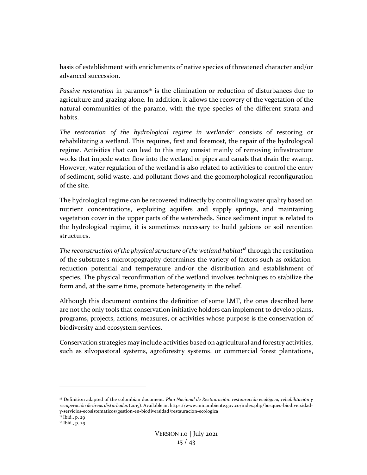basis of establishment with enrichments of native species of threatened character and/or advanced succession.

*Passive restoration* in paramos*<sup>16</sup>* is the elimination or reduction of disturbances due to agriculture and grazing alone. In addition, it allows the recovery of the vegetation of the natural communities of the paramo, with the type species of the different strata and habits.

*The restoration of the hydrological regime in wetlands<sup>17</sup>* consists of restoring or rehabilitating a wetland. This requires, first and foremost, the repair of the hydrological regime. Activities that can lead to this may consist mainly of removing infrastructure works that impede water flow into the wetland or pipes and canals that drain the swamp. However, water regulation of the wetland is also related to activities to control the entry of sediment, solid waste, and pollutant flows and the geomorphological reconfiguration of the site.

The hydrological regime can be recovered indirectly by controlling water quality based on nutrient concentrations, exploiting aquifers and supply springs, and maintaining vegetation cover in the upper parts of the watersheds. Since sediment input is related to the hydrological regime, it is sometimes necessary to build gabions or soil retention structures.

*The reconstruction of the physical structure of the wetland habitat<sup>18</sup>* through the restitution of the substrate's microtopography determines the variety of factors such as oxidationreduction potential and temperature and/or the distribution and establishment of species. The physical reconfirmation of the wetland involves techniques to stabilize the form and, at the same time, promote heterogeneity in the relief.

Although this document contains the definition of some LMT, the ones described here are not the only tools that conservation initiative holders can implement to develop plans, programs, projects, actions, measures, or activities whose purpose is the conservation of biodiversity and ecosystem services.

Conservation strategies may include activities based on agricultural and forestry activities, such as silvopastoral systems, agroforestry systems, or commercial forest plantations,

<sup>16</sup> Definition adapted of the colombian document: *Plan Nacional de Restauración: restauración ecológica, rehabilitación y recuperación de áreas disturbada*s (2015). Available in: https://www.minambiente.gov.co/index.php/bosques-biodiversidady-servicios-ecosistematicos/gestion-en-biodiversidad/restauracion-ecologica

<sup>17</sup> Ibid., p. 29

<sup>&</sup>lt;sup>18</sup> Ibid., p. 29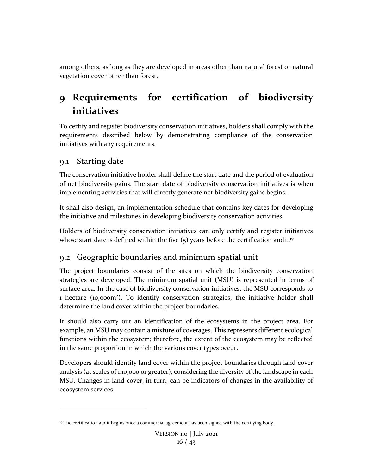among others, as long as they are developed in areas other than natural forest or natural vegetation cover other than forest.

# <span id="page-15-0"></span>**9 Requirements for certification of biodiversity initiatives**

To certify and register biodiversity conservation initiatives, holders shall comply with the requirements described below by demonstrating compliance of the conservation initiatives with any requirements.

## <span id="page-15-1"></span>9.1 Starting date

The conservation initiative holder shall define the start date and the period of evaluation of net biodiversity gains. The start date of biodiversity conservation initiatives is when implementing activities that will directly generate net biodiversity gains begins.

It shall also design, an implementation schedule that contains key dates for developing the initiative and milestones in developing biodiversity conservation activities.

Holders of biodiversity conservation initiatives can only certify and register initiatives whose start date is defined within the five  $(5)$  years before the certification audit.<sup>19</sup>

## <span id="page-15-2"></span>9.2 Geographic boundaries and minimum spatial unit

The project boundaries consist of the sites on which the biodiversity conservation strategies are developed. The minimum spatial unit (MSU) is represented in terms of surface area. In the case of biodiversity conservation initiatives, the MSU corresponds to 1 hectare (10,000m<sup>2</sup>). To identify conservation strategies, the initiative holder shall determine the land cover within the project boundaries.

It should also carry out an identification of the ecosystems in the project area. For example, an MSU may contain a mixture of coverages. This represents different ecological functions within the ecosystem; therefore, the extent of the ecosystem may be reflected in the same proportion in which the various cover types occur.

Developers should identify land cover within the project boundaries through land cover analysis (at scales of 1:10,000 or greater), considering the diversity of the landscape in each MSU. Changes in land cover, in turn, can be indicators of changes in the availability of ecosystem services.

<sup>&</sup>lt;sup>19</sup> The certification audit begins once a commercial agreement has been signed with the certifying body.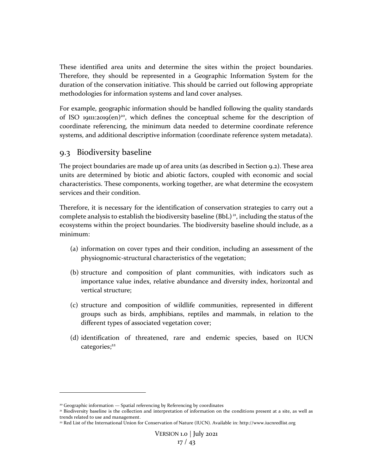These identified area units and determine the sites within the project boundaries. Therefore, they should be represented in a Geographic Information System for the duration of the conservation initiative. This should be carried out following appropriate methodologies for information systems and land cover analyses.

For example, geographic information should be handled following the quality standards of ISO 19111:2019(en)<sup>20</sup>, which defines the conceptual scheme for the description of coordinate referencing, the minimum data needed to determine coordinate reference systems, and additional descriptive information (coordinate reference system metadata).

## <span id="page-16-0"></span>9.3 Biodiversity baseline

The project boundaries are made up of area units (as described in Section 9.2). These area units are determined by biotic and abiotic factors, coupled with economic and social characteristics. These components, working together, are what determine the ecosystem services and their condition.

Therefore, it is necessary for the identification of conservation strategies to carry out a complete analysis to establish the biodiversity baseline (BbL)<sup>21</sup>, including the status of the ecosystems within the project boundaries. The biodiversity baseline should include, as a minimum:

- (a) information on cover types and their condition, including an assessment of the physiognomic-structural characteristics of the vegetation;
- (b) structure and composition of plant communities, with indicators such as importance value index, relative abundance and diversity index, horizontal and vertical structure;
- (c) structure and composition of wildlife communities, represented in different groups such as birds, amphibians, reptiles and mammals, in relation to the different types of associated vegetation cover;
- (d) identification of threatened, rare and endemic species, based on IUCN categories;<sup>22</sup>

<sup>&</sup>lt;sup>20</sup> Geographic information — Spatial referencing by Referencing by coordinates

<sup>21</sup> Biodiversity baseline is the collection and interpretation of information on the conditions present at a site, as well as trends related to use and management.

<sup>22</sup> Red List of the International Union for Conservation of Nature (IUCN). Available in: http://www.iucnredlist.org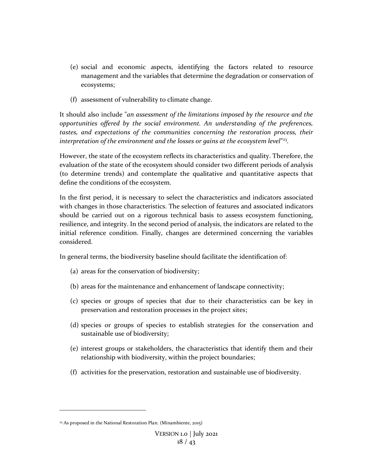- (e) social and economic aspects, identifying the factors related to resource management and the variables that determine the degradation or conservation of ecosystems;
- (f) assessment of vulnerability to climate change.

It should also include "*an assessment of the limitations imposed by the resource and the opportunities offered by the social environment. An understanding of the preferences, tastes, and expectations of the communities concerning the restoration process, their interpretation of the environment and the losses or gains at the ecosystem level*" 23 .

However, the state of the ecosystem reflects its characteristics and quality. Therefore, the evaluation of the state of the ecosystem should consider two different periods of analysis (to determine trends) and contemplate the qualitative and quantitative aspects that define the conditions of the ecosystem.

In the first period, it is necessary to select the characteristics and indicators associated with changes in those characteristics. The selection of features and associated indicators should be carried out on a rigorous technical basis to assess ecosystem functioning, resilience, and integrity. In the second period of analysis, the indicators are related to the initial reference condition. Finally, changes are determined concerning the variables considered.

In general terms, the biodiversity baseline should facilitate the identification of:

- (a) areas for the conservation of biodiversity;
- (b) areas for the maintenance and enhancement of landscape connectivity;
- (c) species or groups of species that due to their characteristics can be key in preservation and restoration processes in the project sites;
- (d) species or groups of species to establish strategies for the conservation and sustainable use of biodiversity;
- (e) interest groups or stakeholders, the characteristics that identify them and their relationship with biodiversity, within the project boundaries;
- (f) activities for the preservation, restoration and sustainable use of biodiversity.

<sup>&</sup>lt;sup>23</sup> As proposed in the National Restoration Plan. (Minambiente, 2015)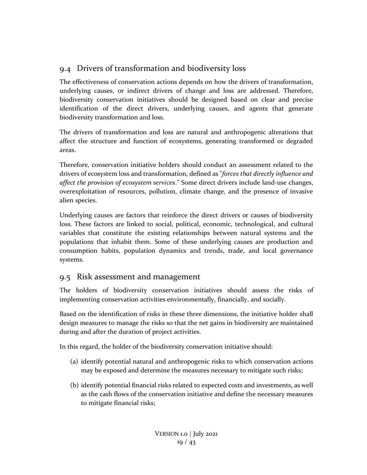## <span id="page-18-0"></span>9.4 Drivers of transformation and biodiversity loss

The effectiveness of conservation actions depends on how the drivers of transformation, underlying causes, or indirect drivers of change and loss are addressed. Therefore, biodiversity conservation initiatives should be designed based on clear and precise identification of the direct drivers, underlying causes, and agents that generate biodiversity transformation and loss.

The drivers of transformation and loss are natural and anthropogenic alterations that affect the structure and function of ecosystems, generating transformed or degraded areas.

Therefore, conservation initiative holders should conduct an assessment related to the drivers of ecosystem loss and transformation, defined as "*forces that directly influence and affect the provision of ecosystem services*." Some direct drivers include land-use changes, overexploitation of resources, pollution, climate change, and the presence of invasive alien species.

Underlying causes are factors that reinforce the direct drivers or causes of biodiversity loss. These factors are linked to social, political, economic, technological, and cultural variables that constitute the existing relationships between natural systems and the populations that inhabit them. Some of these underlying causes are production and consumption habits, population dynamics and trends, trade, and local governance systems.

## <span id="page-18-1"></span>9.5 Risk assessment and management

The holders of biodiversity conservation initiatives should assess the risks of implementing conservation activities environmentally, financially, and socially.

Based on the identification of risks in these three dimensions, the initiative holder shall design measures to manage the risks so that the net gains in biodiversity are maintained during and after the duration of project activities.

In this regard, the holder of the biodiversity conservation initiative should:

- (a) identify potential natural and anthropogenic risks to which conservation actions may be exposed and determine the measures necessary to mitigate such risks;
- (b) identify potential financial risks related to expected costs and investments, as well as the cash flows of the conservation initiative and define the necessary measures to mitigate financial risks;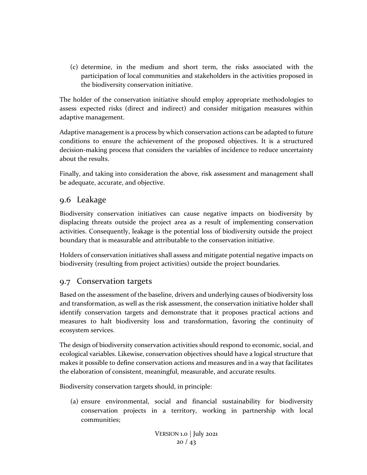(c) determine, in the medium and short term, the risks associated with the participation of local communities and stakeholders in the activities proposed in the biodiversity conservation initiative.

The holder of the conservation initiative should employ appropriate methodologies to assess expected risks (direct and indirect) and consider mitigation measures within adaptive management.

Adaptive management is a process by which conservation actions can be adapted to future conditions to ensure the achievement of the proposed objectives. It is a structured decision-making process that considers the variables of incidence to reduce uncertainty about the results.

Finally, and taking into consideration the above, risk assessment and management shall be adequate, accurate, and objective.

## <span id="page-19-0"></span>9.6 Leakage

Biodiversity conservation initiatives can cause negative impacts on biodiversity by displacing threats outside the project area as a result of implementing conservation activities. Consequently, leakage is the potential loss of biodiversity outside the project boundary that is measurable and attributable to the conservation initiative.

Holders of conservation initiatives shall assess and mitigate potential negative impacts on biodiversity (resulting from project activities) outside the project boundaries.

## <span id="page-19-1"></span>9.7 Conservation targets

Based on the assessment of the baseline, drivers and underlying causes of biodiversity loss and transformation, as well as the risk assessment, the conservation initiative holder shall identify conservation targets and demonstrate that it proposes practical actions and measures to halt biodiversity loss and transformation, favoring the continuity of ecosystem services.

The design of biodiversity conservation activities should respond to economic, social, and ecological variables. Likewise, conservation objectives should have a logical structure that makes it possible to define conservation actions and measures and in a way that facilitates the elaboration of consistent, meaningful, measurable, and accurate results.

Biodiversity conservation targets should, in principle:

(a) ensure environmental, social and financial sustainability for biodiversity conservation projects in a territory, working in partnership with local communities;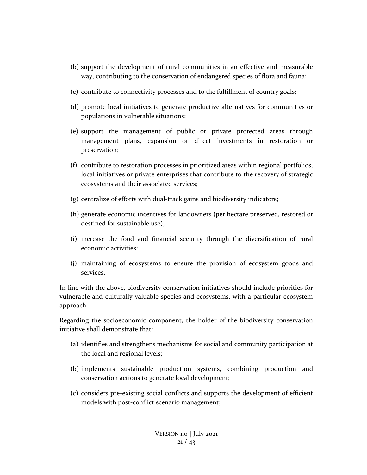- (b) support the development of rural communities in an effective and measurable way, contributing to the conservation of endangered species of flora and fauna;
- (c) contribute to connectivity processes and to the fulfillment of country goals;
- (d) promote local initiatives to generate productive alternatives for communities or populations in vulnerable situations;
- (e) support the management of public or private protected areas through management plans, expansion or direct investments in restoration or preservation;
- (f) contribute to restoration processes in prioritized areas within regional portfolios, local initiatives or private enterprises that contribute to the recovery of strategic ecosystems and their associated services;
- (g) centralize of efforts with dual-track gains and biodiversity indicators;
- (h) generate economic incentives for landowners (per hectare preserved, restored or destined for sustainable use);
- (i) increase the food and financial security through the diversification of rural economic activities;
- (j) maintaining of ecosystems to ensure the provision of ecosystem goods and services.

In line with the above, biodiversity conservation initiatives should include priorities for vulnerable and culturally valuable species and ecosystems, with a particular ecosystem approach.

Regarding the socioeconomic component, the holder of the biodiversity conservation initiative shall demonstrate that:

- (a) identifies and strengthens mechanisms for social and community participation at the local and regional levels;
- (b) implements sustainable production systems, combining production and conservation actions to generate local development;
- (c) considers pre-existing social conflicts and supports the development of efficient models with post-conflict scenario management;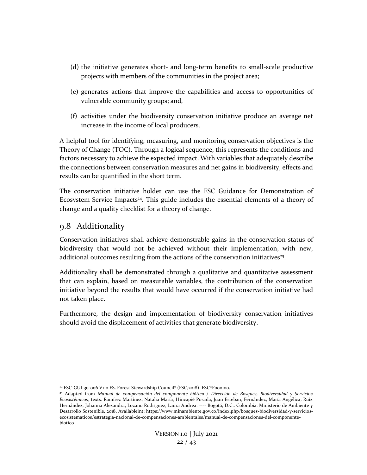- (d) the initiative generates short- and long-term benefits to small-scale productive projects with members of the communities in the project area;
- (e) generates actions that improve the capabilities and access to opportunities of vulnerable community groups; and,
- (f) activities under the biodiversity conservation initiative produce an average net increase in the income of local producers.

A helpful tool for identifying, measuring, and monitoring conservation objectives is the Theory of Change (TOC). Through a logical sequence, this represents the conditions and factors necessary to achieve the expected impact. With variables that adequately describe the connections between conservation measures and net gains in biodiversity, effects and results can be quantified in the short term.

The conservation initiative holder can use the FSC Guidance for Demonstration of Ecosystem Service Impacts<sup>24</sup>. This guide includes the essential elements of a theory of change and a quality checklist for a theory of change.

## <span id="page-21-0"></span>9.8 Additionality

Conservation initiatives shall achieve demonstrable gains in the conservation status of biodiversity that would not be achieved without their implementation, with new, additional outcomes resulting from the actions of the conservation initiatives<sup>25</sup>.

Additionality shall be demonstrated through a qualitative and quantitative assessment that can explain, based on measurable variables, the contribution of the conservation initiative beyond the results that would have occurred if the conservation initiative had not taken place.

Furthermore, the design and implementation of biodiversity conservation initiatives should avoid the displacement of activities that generate biodiversity.

<sup>&</sup>lt;sup>24</sup> FSC-GUI-30-006 V1-0 ES. Forest Stewardship Council® (FSC,2018). FSC®F000100.

<sup>25</sup> Adapted from *Manual de compensación del componente biótico / Dirección de Bosques, Biodiversidad y Servicios Ecosistémicos*; texts: Ramírez Martínez, Natalia María; Hincapié Posada, Juan Esteban; Fernández, María Angélica; Ruíz Hernández, Johanna Alexandra; Lozano Rodríguez, Laura Andrea. ---- Bogotá, D.C.: Colombia. Ministerio de Ambiente y Desarrollo Sostenible, 2018. Availableint: https://www.minambiente.gov.co/index.php/bosques-biodiversidad-y-serviciosecosistematicos/estrategia-nacional-de-compensaciones-ambientales/manual-de-compensaciones-del-componentebiotico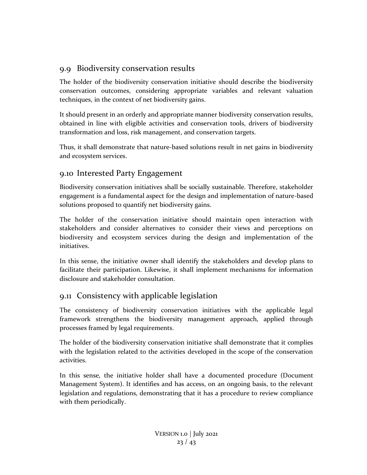## <span id="page-22-0"></span>9.9 Biodiversity conservation results

The holder of the biodiversity conservation initiative should describe the biodiversity conservation outcomes, considering appropriate variables and relevant valuation techniques, in the context of net biodiversity gains.

It should present in an orderly and appropriate manner biodiversity conservation results, obtained in line with eligible activities and conservation tools, drivers of biodiversity transformation and loss, risk management, and conservation targets.

Thus, it shall demonstrate that nature-based solutions result in net gains in biodiversity and ecosystem services.

## <span id="page-22-1"></span>9.10 Interested Party Engagement

Biodiversity conservation initiatives shall be socially sustainable. Therefore, stakeholder engagement is a fundamental aspect for the design and implementation of nature-based solutions proposed to quantify net biodiversity gains.

The holder of the conservation initiative should maintain open interaction with stakeholders and consider alternatives to consider their views and perceptions on biodiversity and ecosystem services during the design and implementation of the initiatives.

In this sense, the initiative owner shall identify the stakeholders and develop plans to facilitate their participation. Likewise, it shall implement mechanisms for information disclosure and stakeholder consultation.

## <span id="page-22-2"></span>9.11 Consistency with applicable legislation

The consistency of biodiversity conservation initiatives with the applicable legal framework strengthens the biodiversity management approach, applied through processes framed by legal requirements.

The holder of the biodiversity conservation initiative shall demonstrate that it complies with the legislation related to the activities developed in the scope of the conservation activities.

In this sense, the initiative holder shall have a documented procedure (Document Management System). It identifies and has access, on an ongoing basis, to the relevant legislation and regulations, demonstrating that it has a procedure to review compliance with them periodically.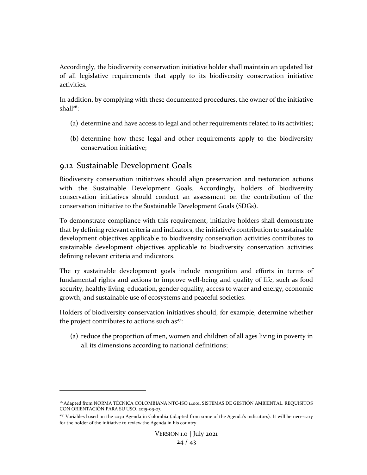Accordingly, the biodiversity conservation initiative holder shall maintain an updated list of all legislative requirements that apply to its biodiversity conservation initiative activities.

In addition, by complying with these documented procedures, the owner of the initiative shall $26$ :

- (a) determine and have access to legal and other requirements related to its activities;
- (b) determine how these legal and other requirements apply to the biodiversity conservation initiative;

## <span id="page-23-0"></span>9.12 Sustainable Development Goals

Biodiversity conservation initiatives should align preservation and restoration actions with the Sustainable Development Goals. Accordingly, holders of biodiversity conservation initiatives should conduct an assessment on the contribution of the conservation initiative to the Sustainable Development Goals (SDGs).

To demonstrate compliance with this requirement, initiative holders shall demonstrate that by defining relevant criteria and indicators, the initiative's contribution to sustainable development objectives applicable to biodiversity conservation activities contributes to sustainable development objectives applicable to biodiversity conservation activities defining relevant criteria and indicators.

The 17 sustainable development goals include recognition and efforts in terms of fundamental rights and actions to improve well-being and quality of life, such as food security, healthy living, education, gender equality, access to water and energy, economic growth, and sustainable use of ecosystems and peaceful societies.

Holders of biodiversity conservation initiatives should, for example, determine whether the project contributes to actions such as $27$ :

(a) reduce the proportion of men, women and children of all ages living in poverty in all its dimensions according to national definitions;

<sup>26</sup> Adapted from NORMA TÉCNICA COLOMBIANA NTC-ISO 14001. SISTEMAS DE GESTIÓN AMBIENTAL. REQUISITOS CON ORIENTACIÓN PARA SU USO. 2015-09-23.

 $27$  Variables based on the 2030 Agenda in Colombia (adapted from some of the Agenda's indicators). It will be necessary for the holder of the initiative to review the Agenda in his country.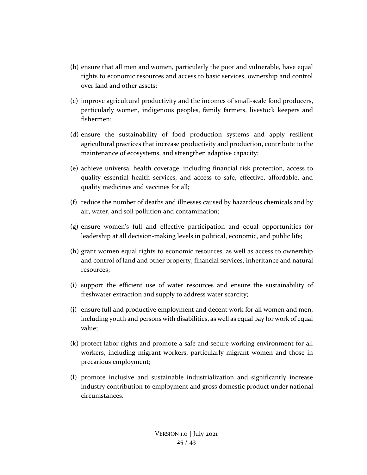- (b) ensure that all men and women, particularly the poor and vulnerable, have equal rights to economic resources and access to basic services, ownership and control over land and other assets;
- (c) improve agricultural productivity and the incomes of small-scale food producers, particularly women, indigenous peoples, family farmers, livestock keepers and fishermen;
- (d) ensure the sustainability of food production systems and apply resilient agricultural practices that increase productivity and production, contribute to the maintenance of ecosystems, and strengthen adaptive capacity;
- (e) achieve universal health coverage, including financial risk protection, access to quality essential health services, and access to safe, effective, affordable, and quality medicines and vaccines for all;
- (f) reduce the number of deaths and illnesses caused by hazardous chemicals and by air, water, and soil pollution and contamination;
- (g) ensure women's full and effective participation and equal opportunities for leadership at all decision-making levels in political, economic, and public life;
- (h) grant women equal rights to economic resources, as well as access to ownership and control of land and other property, financial services, inheritance and natural resources;
- (i) support the efficient use of water resources and ensure the sustainability of freshwater extraction and supply to address water scarcity;
- (j) ensure full and productive employment and decent work for all women and men, including youth and persons with disabilities, as well as equal pay for work of equal value;
- (k) protect labor rights and promote a safe and secure working environment for all workers, including migrant workers, particularly migrant women and those in precarious employment;
- (l) promote inclusive and sustainable industrialization and significantly increase industry contribution to employment and gross domestic product under national circumstances.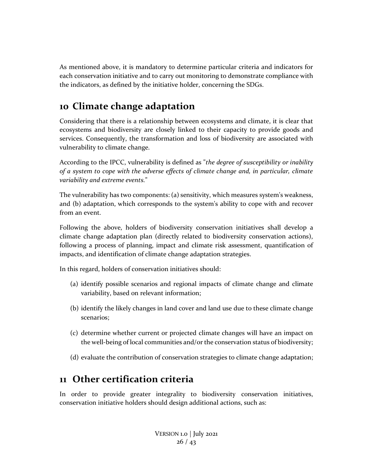As mentioned above, it is mandatory to determine particular criteria and indicators for each conservation initiative and to carry out monitoring to demonstrate compliance with the indicators, as defined by the initiative holder, concerning the SDGs.

# <span id="page-25-0"></span>**10 Climate change adaptation**

Considering that there is a relationship between ecosystems and climate, it is clear that ecosystems and biodiversity are closely linked to their capacity to provide goods and services. Consequently, the transformation and loss of biodiversity are associated with vulnerability to climate change.

According to the IPCC, vulnerability is defined as "*the degree of susceptibility or inability of a system to cope with the adverse effects of climate change and, in particular, climate variability and extreme events.*"

The vulnerability has two components: (a) sensitivity, which measures system's weakness, and (b) adaptation, which corresponds to the system's ability to cope with and recover from an event.

Following the above, holders of biodiversity conservation initiatives shall develop a climate change adaptation plan (directly related to biodiversity conservation actions), following a process of planning, impact and climate risk assessment, quantification of impacts, and identification of climate change adaptation strategies.

In this regard, holders of conservation initiatives should:

- (a) identify possible scenarios and regional impacts of climate change and climate variability, based on relevant information;
- (b) identify the likely changes in land cover and land use due to these climate change scenarios;
- (c) determine whether current or projected climate changes will have an impact on the well-being of local communities and/or the conservation status of biodiversity;
- (d) evaluate the contribution of conservation strategies to climate change adaptation;

## <span id="page-25-1"></span>**11 Other certification criteria**

In order to provide greater integrality to biodiversity conservation initiatives, conservation initiative holders should design additional actions, such as: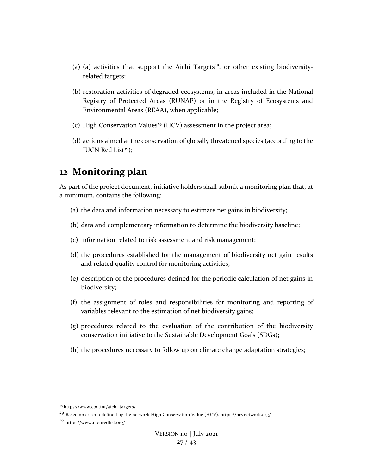- (a) (a) activities that support the Aichi Targets<sup>28</sup>, or other existing biodiversityrelated targets;
- (b) restoration activities of degraded ecosystems, in areas included in the National Registry of Protected Areas (RUNAP) or in the Registry of Ecosystems and Environmental Areas (REAA), when applicable;
- (c) High Conservation Values<sup>29</sup> (HCV) assessment in the project area;
- (d) actions aimed at the conservation of globally threatened species (according to the IUCN Red List $30$ ;

## <span id="page-26-0"></span>**12 Monitoring plan**

As part of the project document, initiative holders shall submit a monitoring plan that, at a minimum, contains the following:

- (a) the data and information necessary to estimate net gains in biodiversity;
- (b) data and complementary information to determine the biodiversity baseline;
- (c) information related to risk assessment and risk management;
- (d) the procedures established for the management of biodiversity net gain results and related quality control for monitoring activities;
- (e) description of the procedures defined for the periodic calculation of net gains in biodiversity;
- (f) the assignment of roles and responsibilities for monitoring and reporting of variables relevant to the estimation of net biodiversity gains;
- (g) procedures related to the evaluation of the contribution of the biodiversity conservation initiative to the Sustainable Development Goals (SDGs);
- (h) the procedures necessary to follow up on climate change adaptation strategies;

<sup>28</sup> https://www.cbd.int/aichi-targets/

<sup>&</sup>lt;sup>29</sup> Based on criteria defined by the network High Conservation Value (HCV). https://hcvnetwork.org/

<sup>30</sup> https://www.iucnredlist.org/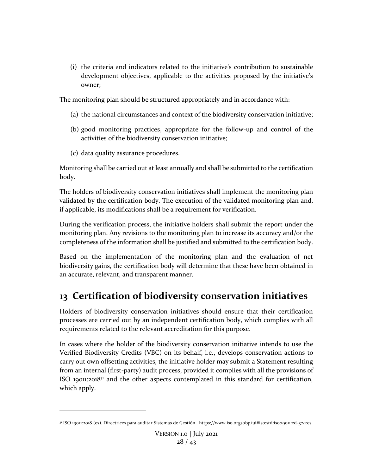(i) the criteria and indicators related to the initiative's contribution to sustainable development objectives, applicable to the activities proposed by the initiative's owner;

The monitoring plan should be structured appropriately and in accordance with:

- (a) the national circumstances and context of the biodiversity conservation initiative;
- (b) good monitoring practices, appropriate for the follow-up and control of the activities of the biodiversity conservation initiative;
- (c) data quality assurance procedures.

Monitoring shall be carried out at least annually and shall be submitted to the certification body.

The holders of biodiversity conservation initiatives shall implement the monitoring plan validated by the certification body. The execution of the validated monitoring plan and, if applicable, its modifications shall be a requirement for verification.

During the verification process, the initiative holders shall submit the report under the monitoring plan. Any revisions to the monitoring plan to increase its accuracy and/or the completeness of the information shall be justified and submitted to the certification body.

Based on the implementation of the monitoring plan and the evaluation of net biodiversity gains, the certification body will determine that these have been obtained in an accurate, relevant, and transparent manner.

# <span id="page-27-0"></span>**13 Certification of biodiversity conservation initiatives**

Holders of biodiversity conservation initiatives should ensure that their certification processes are carried out by an independent certification body, which complies with all requirements related to the relevant accreditation for this purpose.

In cases where the holder of the biodiversity conservation initiative intends to use the Verified Biodiversity Credits (VBC) on its behalf, i.e., develops conservation actions to carry out own offsetting activities, the initiative holder may submit a Statement resulting from an internal (first-party) audit process, provided it complies with all the provisions of ISO 19011:2018<sup>31</sup> and the other aspects contemplated in this standard for certification, which apply.

<sup>31</sup> ISO 19011:2018 (es). Directrices para auditar Sistemas de Gestión. https://www.iso.org/obp/ui#iso:std:iso:19011:ed-3:v1:es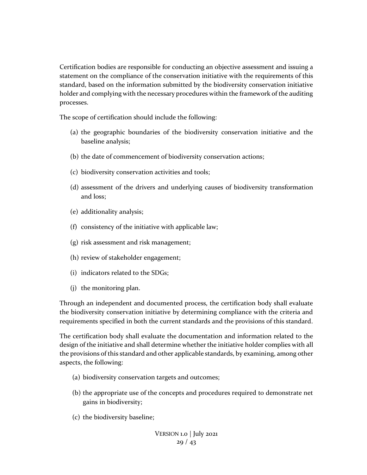Certification bodies are responsible for conducting an objective assessment and issuing a statement on the compliance of the conservation initiative with the requirements of this standard, based on the information submitted by the biodiversity conservation initiative holder and complying with the necessary procedures within the framework of the auditing processes.

The scope of certification should include the following:

- (a) the geographic boundaries of the biodiversity conservation initiative and the baseline analysis;
- (b) the date of commencement of biodiversity conservation actions;
- (c) biodiversity conservation activities and tools;
- (d) assessment of the drivers and underlying causes of biodiversity transformation and loss;
- (e) additionality analysis;
- (f) consistency of the initiative with applicable law;
- (g) risk assessment and risk management;
- (h) review of stakeholder engagement;
- (i) indicators related to the SDGs;
- (j) the monitoring plan.

Through an independent and documented process, the certification body shall evaluate the biodiversity conservation initiative by determining compliance with the criteria and requirements specified in both the current standards and the provisions of this standard.

The certification body shall evaluate the documentation and information related to the design of the initiative and shall determine whether the initiative holder complies with all the provisions of this standard and other applicable standards, by examining, among other aspects, the following:

- (a) biodiversity conservation targets and outcomes;
- (b) the appropriate use of the concepts and procedures required to demonstrate net gains in biodiversity;
- (c) the biodiversity baseline;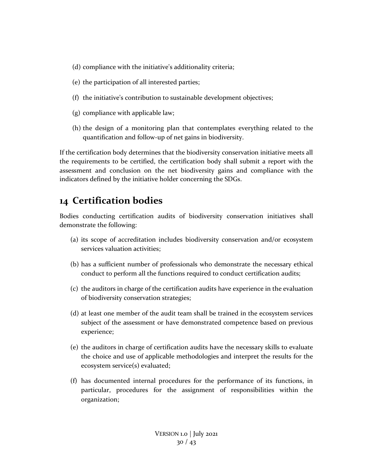- (d) compliance with the initiative's additionality criteria;
- (e) the participation of all interested parties;
- (f) the initiative's contribution to sustainable development objectives;
- (g) compliance with applicable law;
- (h) the design of a monitoring plan that contemplates everything related to the quantification and follow-up of net gains in biodiversity.

If the certification body determines that the biodiversity conservation initiative meets all the requirements to be certified, the certification body shall submit a report with the assessment and conclusion on the net biodiversity gains and compliance with the indicators defined by the initiative holder concerning the SDGs.

## <span id="page-29-0"></span>**14 Certification bodies**

Bodies conducting certification audits of biodiversity conservation initiatives shall demonstrate the following:

- (a) its scope of accreditation includes biodiversity conservation and/or ecosystem services valuation activities;
- (b) has a sufficient number of professionals who demonstrate the necessary ethical conduct to perform all the functions required to conduct certification audits;
- (c) the auditors in charge of the certification audits have experience in the evaluation of biodiversity conservation strategies;
- (d) at least one member of the audit team shall be trained in the ecosystem services subject of the assessment or have demonstrated competence based on previous experience;
- (e) the auditors in charge of certification audits have the necessary skills to evaluate the choice and use of applicable methodologies and interpret the results for the ecosystem service(s) evaluated;
- (f) has documented internal procedures for the performance of its functions, in particular, procedures for the assignment of responsibilities within the organization;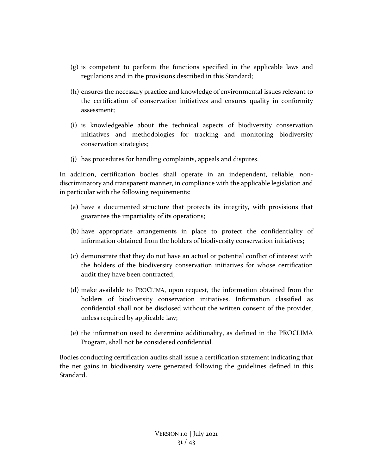- (g) is competent to perform the functions specified in the applicable laws and regulations and in the provisions described in this Standard;
- (h) ensures the necessary practice and knowledge of environmental issues relevant to the certification of conservation initiatives and ensures quality in conformity assessment;
- (i) is knowledgeable about the technical aspects of biodiversity conservation initiatives and methodologies for tracking and monitoring biodiversity conservation strategies;
- (j) has procedures for handling complaints, appeals and disputes.

In addition, certification bodies shall operate in an independent, reliable, nondiscriminatory and transparent manner, in compliance with the applicable legislation and in particular with the following requirements:

- (a) have a documented structure that protects its integrity, with provisions that guarantee the impartiality of its operations;
- (b) have appropriate arrangements in place to protect the confidentiality of information obtained from the holders of biodiversity conservation initiatives;
- (c) demonstrate that they do not have an actual or potential conflict of interest with the holders of the biodiversity conservation initiatives for whose certification audit they have been contracted;
- (d) make available to PROCLIMA, upon request, the information obtained from the holders of biodiversity conservation initiatives. Information classified as confidential shall not be disclosed without the written consent of the provider, unless required by applicable law;
- (e) the information used to determine additionality, as defined in the PROCLIMA Program, shall not be considered confidential.

Bodies conducting certification audits shall issue a certification statement indicating that the net gains in biodiversity were generated following the guidelines defined in this Standard.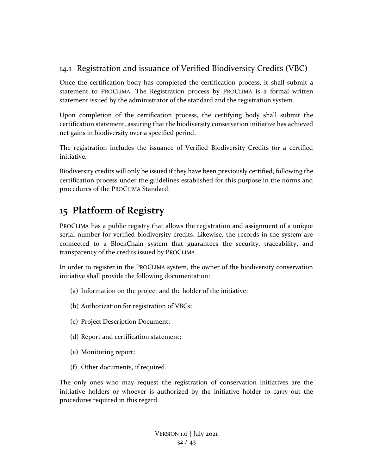## <span id="page-31-0"></span>14.1 Registration and issuance of Verified Biodiversity Credits (VBC)

Once the certification body has completed the certification process, it shall submit a statement to PROCLIMA. The Registration process by PROCLIMA is a formal written statement issued by the administrator of the standard and the registration system.

Upon completion of the certification process, the certifying body shall submit the certification statement, assuring that the biodiversity conservation initiative has achieved net gains in biodiversity over a specified period.

The registration includes the issuance of Verified Biodiversity Credits for a certified initiative.

Biodiversity credits will only be issued if they have been previously certified, following the certification process under the guidelines established for this purpose in the norms and procedures of the PROCLIMA Standard.

# <span id="page-31-1"></span>**15 Platform of Registry**

PROCLIMA has a public registry that allows the registration and assignment of a unique serial number for verified biodiversity credits. Likewise, the records in the system are connected to a BlockChain system that guarantees the security, traceability, and transparency of the credits issued by PROCLIMA.

In order to register in the PROCLIMA system, the owner of the biodiversity conservation initiative shall provide the following documentation:

- (a) Information on the project and the holder of the initiative;
- (b) Authorization for registration of VBCs;
- (c) Project Description Document;
- (d) Report and certification statement;
- (e) Monitoring report;
- (f) Other documents, if required.

The only ones who may request the registration of conservation initiatives are the initiative holders or whoever is authorized by the initiative holder to carry out the procedures required in this regard.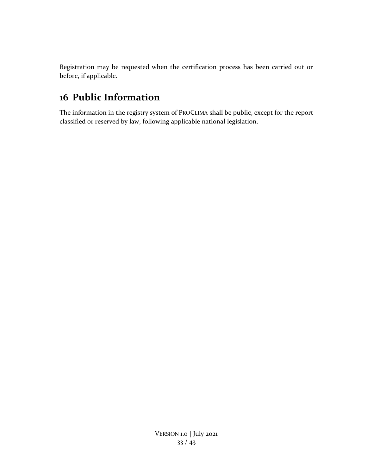Registration may be requested when the certification process has been carried out or before, if applicable.

# <span id="page-32-0"></span>**16 Public Information**

The information in the registry system of PROCLIMA shall be public, except for the report classified or reserved by law, following applicable national legislation.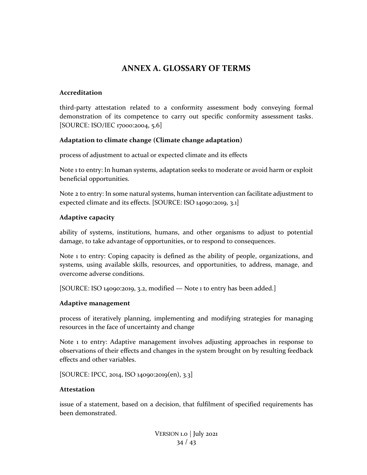## **ANNEX A. GLOSSARY OF TERMS**

#### <span id="page-33-0"></span>**Accreditation**

third-party attestation related to a conformity assessment body conveying formal demonstration of its competence to carry out specific conformity assessment tasks. [SOURCE: ISO/IEC 17000:2004, 5.6]

### **Adaptation to climate change (Climate change adaptation)**

process of adjustment to actual or expected climate and its effects

Note 1 to entry: In human systems, adaptation seeks to moderate or avoid harm or exploit beneficial opportunities.

Note 2 to entry: In some natural systems, human intervention can facilitate adjustment to expected climate and its effects. [SOURCE: ISO 14090:2019, 3.1]

#### **Adaptive capacity**

ability of systems, institutions, humans, and other organisms to adjust to potential damage, to take advantage of opportunities, or to respond to consequences.

Note 1 to entry: Coping capacity is defined as the ability of people, organizations, and systems, using available skills, resources, and opportunities, to address, manage, and overcome adverse conditions.

[SOURCE: ISO 14090:2019, 3.2, modified - Note 1 to entry has been added.]

#### **Adaptive management**

process of iteratively planning, implementing and modifying strategies for managing resources in the face of uncertainty and change

Note 1 to entry: Adaptive management involves adjusting approaches in response to observations of their effects and changes in the system brought on by resulting feedback effects and other variables.

[SOURCE: IPCC, 2014, ISO 14090:2019(en), 3.3]

#### **Attestation**

issue of a statement, based on a decision, that fulfilment of specified requirements has been demonstrated.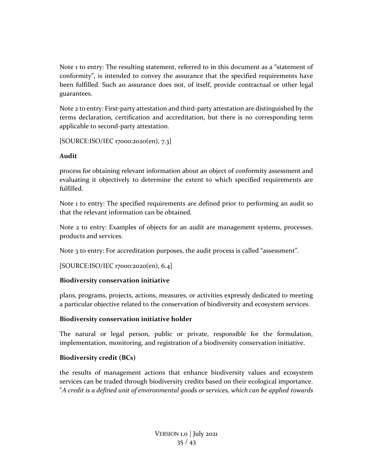Note 1 to entry: The resulting statement, referred to in this document as a "statement of conformity", is intended to convey the assurance that the specified requirements have been fulfilled. Such an assurance does not, of itself, provide contractual or other legal guarantees.

Note 2 to entry: First-party attestation and third-party attestation are distinguished by the terms declaration, certification and accreditation, but there is no corresponding term applicable to second-party attestation.

[SOURCE:ISO/IEC 17000:2020(en), 7.3]

## **Audit**

process for obtaining relevant information about an object of conformity assessment and evaluating it objectively to determine the extent to which specified requirements are fulfilled.

Note 1 to entry: The specified requirements are defined prior to performing an audit so that the relevant information can be obtained.

Note 2 to entry: Examples of objects for an audit are management systems, processes, products and services.

Note 3 to entry: For accreditation purposes, the audit process is called "assessment".

[SOURCE:ISO/IEC 17000:2020(en), 6.4]

## **Biodiversity conservation initiative**

plans, programs, projects, actions, measures, or activities expressly dedicated to meeting a particular objective related to the conservation of biodiversity and ecosystem services.

## **Biodiversity conservation initiative holder**

The natural or legal person, public or private, responsible for the formulation, implementation, monitoring, and registration of a biodiversity conservation initiative.

## **Biodiversity credit (BCs)**

the results of management actions that enhance biodiversity values and ecosystem services can be traded through biodiversity credits based on their ecological importance. "*A credit is a defined unit of environmental goods or services, which can be applied towards*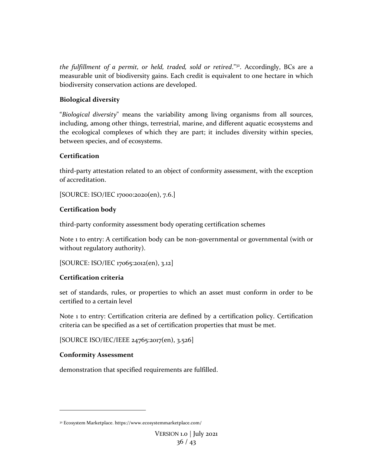*the fulfillment of a permit, or held, traded, sold or retired*."<sup>32</sup>. Accordingly, BCs are a measurable unit of biodiversity gains. Each credit is equivalent to one hectare in which biodiversity conservation actions are developed.

## **Biological diversity**

"*Biological diversity*" means the variability among living organisms from all sources, including, among other things, terrestrial, marine, and different aquatic ecosystems and the ecological complexes of which they are part; it includes diversity within species, between species, and of ecosystems.

## **Certification**

third-party attestation related to an object of conformity assessment, with the exception of accreditation.

[SOURCE: ISO/IEC 17000:2020(en), 7.6.]

## **Certification body**

third-party conformity assessment body operating certification schemes

Note 1 to entry: A certification body can be non-governmental or governmental (with or without regulatory authority).

```
[SOURCE: ISO/IEC 17065:2012(en), 3.12]
```
## **Certification criteria**

set of standards, rules, or properties to which an asset must conform in order to be certified to a certain level

Note 1 to entry: Certification criteria are defined by a certification policy. Certification criteria can be specified as a set of certification properties that must be met.

[SOURCE ISO/IEC/IEEE 24765:2017(en), 3.526]

## **Conformity Assessment**

demonstration that specified requirements are fulfilled.

<sup>32</sup> Ecosystem Marketplace. https://www.ecosystemmarketplace.com/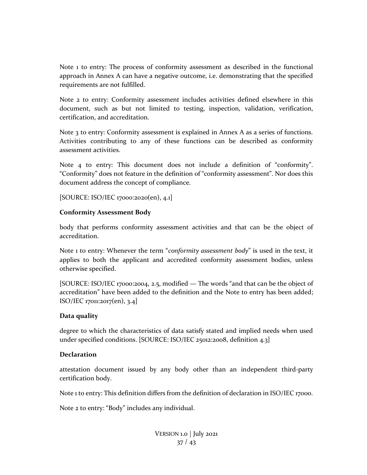Note 1 to entry: The process of conformity assessment as described in the functional approach in Annex A can have a negative outcome, i.e. demonstrating that the specified requirements are not fulfilled.

Note 2 to entry: Conformity assessment includes activities defined elsewhere in this document, such as but not limited to testing, inspection, validation, verification, certification, and accreditation.

Note 3 to entry: Conformity assessment is explained in Annex A as a series of functions. Activities contributing to any of these functions can be described as conformity assessment activities.

Note 4 to entry: This document does not include a definition of "conformity". "Conformity" does not feature in the definition of "conformity assessment". Nor does this document address the concept of compliance.

[SOURCE: ISO/IEC 17000:2020(en), 4.1]

#### **Conformity Assessment Body**

body that performs conformity assessment activities and that can be the object of accreditation.

Note 1 to entry: Whenever the term "*conformity assessment body*" is used in the text, it applies to both the applicant and accredited conformity assessment bodies, unless otherwise specified.

[SOURCE: ISO/IEC 17000:2004, 2.5, modified — The words "and that can be the object of accreditation" have been added to the definition and the Note to entry has been added; ISO/IEC 17011:2017(en), 3.4]

#### **Data quality**

degree to which the characteristics of data satisfy stated and implied needs when used under specified conditions. [SOURCE: ISO/IEC 25012:2008, definition 4.3]

#### **Declaration**

attestation document issued by any body other than an independent third-party certification body.

Note 1 to entry: This definition differs from the definition of declaration in ISO/IEC 17000.

Note 2 to entry: "Body" includes any individual.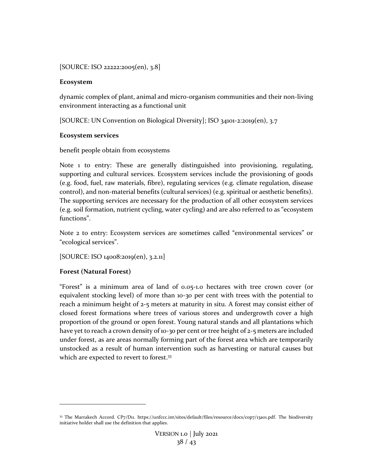[SOURCE: ISO 22222:2005(en), 3.8]

## **Ecosystem**

dynamic complex of plant, animal and micro-organism communities and their non-living environment interacting as a functional unit

[SOURCE: UN Convention on Biological Diversity]; ISO 34101-2:2019(en), 3.7

## **Ecosystem services**

## benefit people obtain from ecosystems

Note 1 to entry: These are generally distinguished into provisioning, regulating, supporting and cultural services. Ecosystem services include the provisioning of goods (e.g. food, fuel, raw materials, fibre), regulating services (e.g. climate regulation, disease control), and non-material benefits (cultural services) (e.g. spiritual or aesthetic benefits). The supporting services are necessary for the production of all other ecosystem services (e.g. soil formation, nutrient cycling, water cycling) and are also referred to as "ecosystem functions".

Note 2 to entry: Ecosystem services are sometimes called "environmental services" or "ecological services".

[SOURCE: ISO 14008:2019(en), 3.2.11]

## **Forest (Natural Forest)**

"Forest" is a minimum area of land of 0.05-1.0 hectares with tree crown cover (or equivalent stocking level) of more than 10-30 per cent with trees with the potential to reach a minimum height of 2-5 meters at maturity in situ. A forest may consist either of closed forest formations where trees of various stores and undergrowth cover a high proportion of the ground or open forest. Young natural stands and all plantations which have yet to reach a crown density of 10-30 per cent or tree height of 2-5 meters are included under forest, as are areas normally forming part of the forest area which are temporarily unstocked as a result of human intervention such as harvesting or natural causes but which are expected to revert to forest.<sup>33</sup>

<sup>33</sup> The Marrakech Accord. CP7/D11. https://unfccc.int/sites/default/files/resource/docs/cop7/13a01.pdf. The biodiversity initiative holder shall use the definition that applies.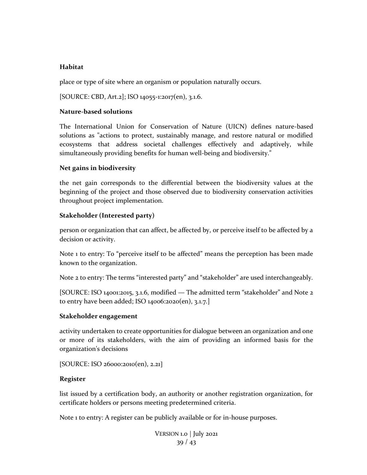### **Habitat**

place or type of site where an organism or population naturally occurs.

[SOURCE: CBD, Art.2]; ISO 14055-1:2017(en), 3.1.6.

#### **Nature-based solutions**

The International Union for Conservation of Nature (UICN) defines nature-based solutions as "actions to protect, sustainably manage, and restore natural or modified ecosystems that address societal challenges effectively and adaptively, while simultaneously providing benefits for human well-being and biodiversity."

### **Net gains in biodiversity**

the net gain corresponds to the differential between the biodiversity values at the beginning of the project and those observed due to biodiversity conservation activities throughout project implementation.

### **Stakeholder (Interested party)**

person or organization that can affect, be affected by, or perceive itself to be affected by a decision or activity.

Note 1 to entry: To "perceive itself to be affected" means the perception has been made known to the organization.

Note 2 to entry: The terms "interested party" and "stakeholder" are used interchangeably.

[SOURCE: ISO 14001:2015, 3.1.6, modified — The admitted term "stakeholder" and Note 2 to entry have been added; ISO 14006:2020(en), 3.1.7.]

## **Stakeholder engagement**

activity undertaken to create opportunities for dialogue between an organization and one or more of its stakeholders, with the aim of providing an informed basis for the organization's decisions

[SOURCE: ISO 26000:2010(en), 2.21]

## **Register**

list issued by a certification body, an authority or another registration organization, for certificate holders or persons meeting predetermined criteria.

Note 1 to entry: A register can be publicly available or for in-house purposes.

VERSION 1.0 | July 2021 39 / 43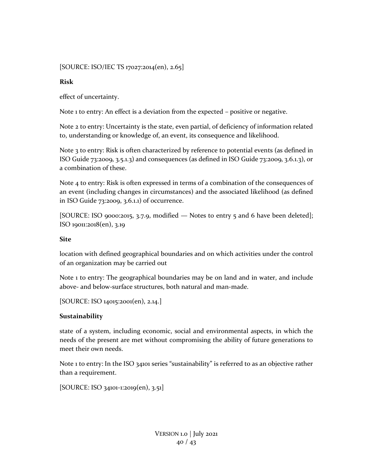## [SOURCE: ISO/IEC TS 17027:2014(en), 2.65]

### **Risk**

effect of uncertainty.

Note 1 to entry: An effect is a deviation from the expected – positive or negative.

Note 2 to entry: Uncertainty is the state, even partial, of deficiency of information related to, understanding or knowledge of, an event, its consequence and likelihood.

Note 3 to entry: Risk is often characterized by reference to potential events (as defined in ISO Guide 73:2009, 3.5.1.3) and consequences (as defined in ISO Guide 73:2009, 3.6.1.3), or a combination of these.

Note 4 to entry: Risk is often expressed in terms of a combination of the consequences of an event (including changes in circumstances) and the associated likelihood (as defined in ISO Guide 73:2009, 3.6.1.1) of occurrence.

[SOURCE: ISO 9000:2015, 3.7.9, modified — Notes to entry 5 and 6 have been deleted]; ISO 19011:2018(en), 3.19

## **Site**

location with defined geographical boundaries and on which activities under the control of an organization may be carried out

Note 1 to entry: The geographical boundaries may be on land and in water, and include above- and below-surface structures, both natural and man-made.

[SOURCE: ISO 14015:2001(en), 2.14.]

## **Sustainability**

state of a system, including economic, social and environmental aspects, in which the needs of the present are met without compromising the ability of future generations to meet their own needs.

Note 1 to entry: In the ISO 34101 series "sustainability" is referred to as an objective rather than a requirement.

[SOURCE: ISO 34101-1:2019(en), 3.51]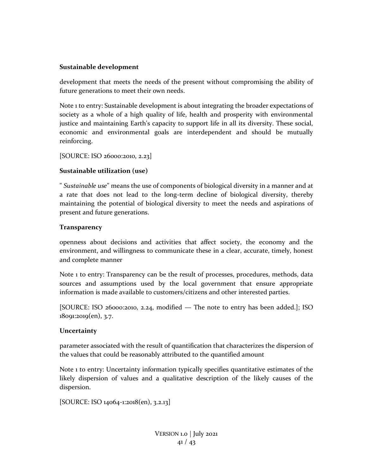#### **Sustainable development**

development that meets the needs of the present without compromising the ability of future generations to meet their own needs.

Note 1 to entry: Sustainable development is about integrating the broader expectations of society as a whole of a high quality of life, health and prosperity with environmental justice and maintaining Earth's capacity to support life in all its diversity. These social, economic and environmental goals are interdependent and should be mutually reinforcing.

[SOURCE: ISO 26000:2010, 2.23]

### **Sustainable utilization (use)**

" *Sustainable use*" means the use of components of biological diversity in a manner and at a rate that does not lead to the long-term decline of biological diversity, thereby maintaining the potential of biological diversity to meet the needs and aspirations of present and future generations.

### **Transparency**

openness about decisions and activities that affect society, the economy and the environment, and willingness to communicate these in a clear, accurate, timely, honest and complete manner

Note 1 to entry: Transparency can be the result of processes, procedures, methods, data sources and assumptions used by the local government that ensure appropriate information is made available to customers/citizens and other interested parties.

[SOURCE: ISO 26000:2010, 2.24, modified — The note to entry has been added.]; ISO 18091:2019(en), 3.7.

#### **Uncertainty**

parameter associated with the result of quantification that characterizes the dispersion of the values that could be reasonably attributed to the quantified amount

Note 1 to entry: Uncertainty information typically specifies quantitative estimates of the likely dispersion of values and a qualitative description of the likely causes of the dispersion.

[SOURCE: ISO 14064-1:2018(en), 3.2.13]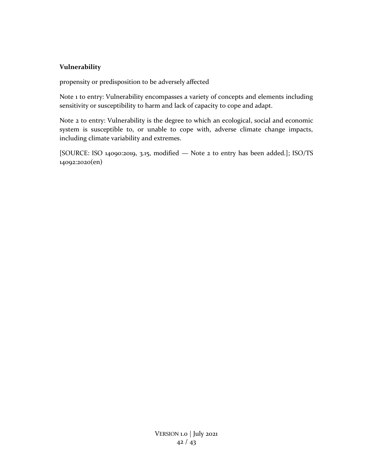## **Vulnerability**

propensity or predisposition to be adversely affected

Note 1 to entry: Vulnerability encompasses a variety of concepts and elements including sensitivity or susceptibility to harm and lack of capacity to cope and adapt.

Note 2 to entry: Vulnerability is the degree to which an ecological, social and economic system is susceptible to, or unable to cope with, adverse climate change impacts, including climate variability and extremes.

[SOURCE: ISO 14090:2019, 3.15, modified — Note 2 to entry has been added.]; ISO/TS 14092:2020(en)